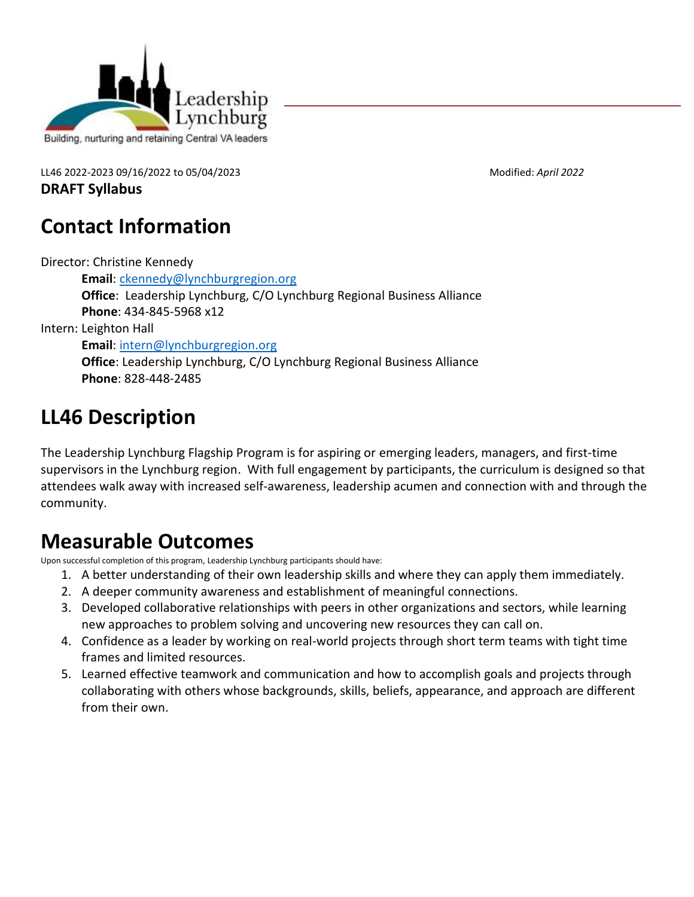

LL46 2022-2023 09/16/2022 to 05/04/2023 Modified: *April 2022*

**DRAFT Syllabus** 

## **Contact Information**

Director: Christine Kennedy

**Email**: [ckennedy@lynchburgregion.org](mailto:ckennedy@lynchburgregion.org) **Office**: Leadership Lynchburg, C/O Lynchburg Regional Business Alliance **Phone**: 434-845-5968 x12

Intern: Leighton Hall

**Email**: [intern@lynchburgregion.org](mailto:intern@lynchburgregion.org)

**Office**: Leadership Lynchburg, C/O Lynchburg Regional Business Alliance **Phone**: 828-448-2485

# **LL46 Description**

The Leadership Lynchburg Flagship Program is for aspiring or emerging leaders, managers, and first-time supervisors in the Lynchburg region. With full engagement by participants, the curriculum is designed so that attendees walk away with increased self-awareness, leadership acumen and connection with and through the community.

## **Measurable Outcomes**

Upon successful completion of this program, Leadership Lynchburg participants should have:

- 1. A better understanding of their own leadership skills and where they can apply them immediately.
- 2. A deeper community awareness and establishment of meaningful connections.
- 3. Developed collaborative relationships with peers in other organizations and sectors, while learning new approaches to problem solving and uncovering new resources they can call on.
- 4. Confidence as a leader by working on real-world projects through short term teams with tight time frames and limited resources.
- 5. Learned effective teamwork and communication and how to accomplish goals and projects through collaborating with others whose backgrounds, skills, beliefs, appearance, and approach are different from their own.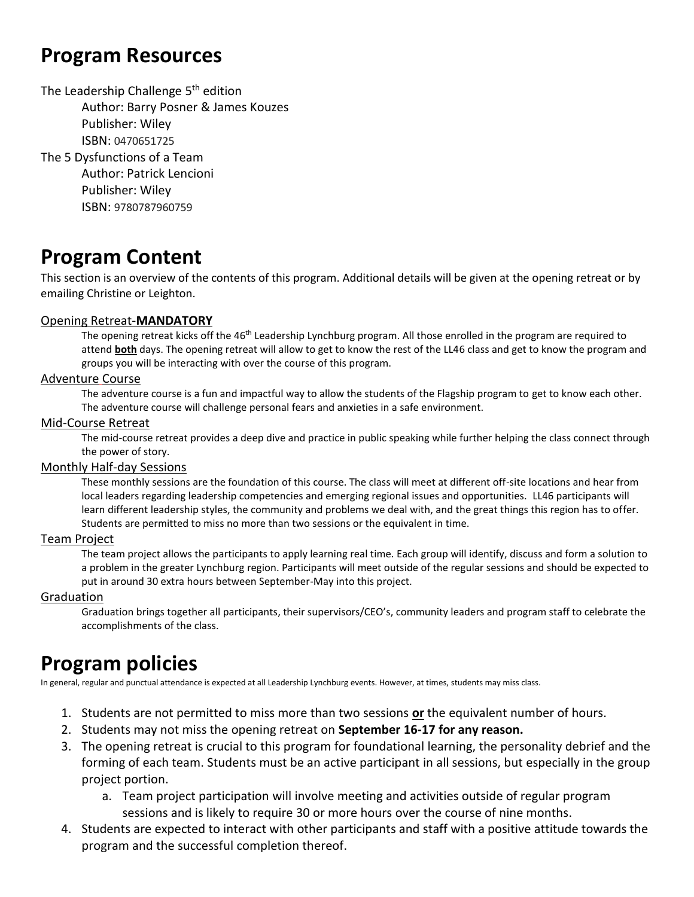### **Program Resources**

The Leadership Challenge 5<sup>th</sup> edition Author: Barry Posner & James Kouzes Publisher: Wiley ISBN: 0470651725 The 5 Dysfunctions of a Team Author: Patrick Lencioni Publisher: Wiley ISBN: 9780787960759

## **Program Content**

This section is an overview of the contents of this program. Additional details will be given at the opening retreat or by emailing Christine or Leighton.

#### Opening Retreat-**MANDATORY**

The opening retreat kicks off the 46<sup>th</sup> Leadership Lynchburg program. All those enrolled in the program are required to attend **both** days. The opening retreat will allow to get to know the rest of the LL46 class and get to know the program and groups you will be interacting with over the course of this program.

#### Adventure Course

The adventure course is a fun and impactful way to allow the students of the Flagship program to get to know each other. The adventure course will challenge personal fears and anxieties in a safe environment.

#### Mid-Course Retreat

The mid-course retreat provides a deep dive and practice in public speaking while further helping the class connect through the power of story.

#### Monthly Half-day Sessions

These monthly sessions are the foundation of this course. The class will meet at different off-site locations and hear from local leaders regarding leadership competencies and emerging regional issues and opportunities. LL46 participants will learn different leadership styles, the community and problems we deal with, and the great things this region has to offer. Students are permitted to miss no more than two sessions or the equivalent in time.

#### Team Project

The team project allows the participants to apply learning real time. Each group will identify, discuss and form a solution to a problem in the greater Lynchburg region. Participants will meet outside of the regular sessions and should be expected to put in around 30 extra hours between September-May into this project.

#### Graduation

Graduation brings together all participants, their supervisors/CEO's, community leaders and program staff to celebrate the accomplishments of the class.

### **Program policies**

In general, regular and punctual attendance is expected at all Leadership Lynchburg events. However, at times, students may miss class.

- 1. Students are not permitted to miss more than two sessions **or** the equivalent number of hours.
- 2. Students may not miss the opening retreat on **September 16-17 for any reason.**
- 3. The opening retreat is crucial to this program for foundational learning, the personality debrief and the forming of each team. Students must be an active participant in all sessions, but especially in the group project portion.
	- a. Team project participation will involve meeting and activities outside of regular program sessions and is likely to require 30 or more hours over the course of nine months.
- 4. Students are expected to interact with other participants and staff with a positive attitude towards the program and the successful completion thereof.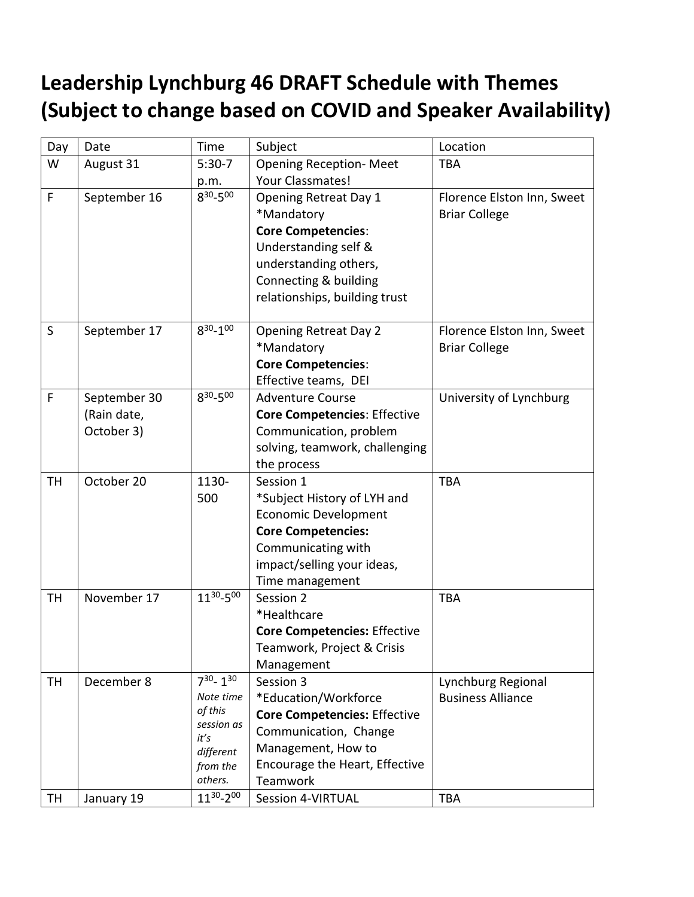# **Leadership Lynchburg 46 DRAFT Schedule with Themes (Subject to change based on COVID and Speaker Availability)**

| Day       | Date         | Time                  | Subject                             | Location                   |
|-----------|--------------|-----------------------|-------------------------------------|----------------------------|
| W         | August 31    | $5:30-7$              | <b>Opening Reception- Meet</b>      | <b>TBA</b>                 |
|           |              | p.m.                  | Your Classmates!                    |                            |
| F         | September 16 | $8^{30} - 5^{00}$     | Opening Retreat Day 1               | Florence Elston Inn, Sweet |
|           |              |                       | *Mandatory                          | <b>Briar College</b>       |
|           |              |                       | <b>Core Competencies:</b>           |                            |
|           |              |                       | Understanding self &                |                            |
|           |              |                       | understanding others,               |                            |
|           |              |                       | Connecting & building               |                            |
|           |              |                       | relationships, building trust       |                            |
|           |              |                       |                                     |                            |
| S         | September 17 | $8^{30} - 1^{00}$     | <b>Opening Retreat Day 2</b>        | Florence Elston Inn, Sweet |
|           |              |                       | *Mandatory                          | <b>Briar College</b>       |
|           |              |                       | <b>Core Competencies:</b>           |                            |
|           |              |                       | Effective teams, DEI                |                            |
| F         | September 30 | $8^{30} - 5^{00}$     | <b>Adventure Course</b>             | University of Lynchburg    |
|           | (Rain date,  |                       | <b>Core Competencies: Effective</b> |                            |
|           | October 3)   |                       | Communication, problem              |                            |
|           |              |                       | solving, teamwork, challenging      |                            |
|           |              |                       | the process                         |                            |
| TH        | October 20   | 1130-                 | Session 1                           | <b>TBA</b>                 |
|           |              | 500                   | *Subject History of LYH and         |                            |
|           |              |                       | <b>Economic Development</b>         |                            |
|           |              |                       | <b>Core Competencies:</b>           |                            |
|           |              |                       | Communicating with                  |                            |
|           |              |                       | impact/selling your ideas,          |                            |
|           |              |                       | Time management                     |                            |
| <b>TH</b> | November 17  | 1130-500              | Session 2                           | <b>TBA</b>                 |
|           |              |                       | *Healthcare                         |                            |
|           |              |                       | <b>Core Competencies: Effective</b> |                            |
|           |              |                       | Teamwork, Project & Crisis          |                            |
|           |              |                       | Management                          |                            |
| TH        | December 8   | $7^{30} - 1^{30}$     | Session 3                           | Lynchburg Regional         |
|           |              | Note time             | *Education/Workforce                | <b>Business Alliance</b>   |
|           |              | of this<br>session as | <b>Core Competencies: Effective</b> |                            |
|           |              | it's                  | Communication, Change               |                            |
|           |              | different             | Management, How to                  |                            |
|           |              | from the              | Encourage the Heart, Effective      |                            |
|           |              | others.               | Teamwork                            |                            |
| <b>TH</b> | January 19   | 1130-200              | Session 4-VIRTUAL                   | <b>TBA</b>                 |